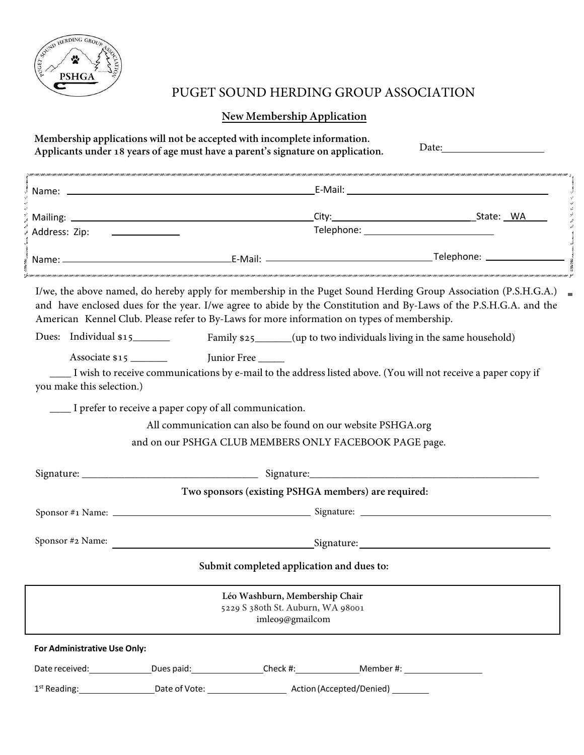

## PUGET SOUND HERDING GROUP ASSOCIATION

## **New Membership Application**

| Membership applications will not be accepted with incomplete information. | Applicants under 18 years of age must have a parent's signature on application.                                                                                                                                                                                                                                                     | Date: and the same state of the state of the state of the state of the state of the state of the state of the state of the state of the state of the state of the state of the state of the state of the state of the state of |
|---------------------------------------------------------------------------|-------------------------------------------------------------------------------------------------------------------------------------------------------------------------------------------------------------------------------------------------------------------------------------------------------------------------------------|--------------------------------------------------------------------------------------------------------------------------------------------------------------------------------------------------------------------------------|
|                                                                           |                                                                                                                                                                                                                                                                                                                                     |                                                                                                                                                                                                                                |
|                                                                           |                                                                                                                                                                                                                                                                                                                                     |                                                                                                                                                                                                                                |
| Address: Zip: _________________                                           |                                                                                                                                                                                                                                                                                                                                     |                                                                                                                                                                                                                                |
|                                                                           |                                                                                                                                                                                                                                                                                                                                     |                                                                                                                                                                                                                                |
|                                                                           | I/we, the above named, do hereby apply for membership in the Puget Sound Herding Group Association (P.S.H.G.A.)<br>and have enclosed dues for the year. I/we agree to abide by the Constitution and By-Laws of the P.S.H.G.A. and the<br>American Kennel Club. Please refer to By-Laws for more information on types of membership. |                                                                                                                                                                                                                                |
| Dues: Individual $$15$                                                    | Family \$25______(up to two individuals living in the same household)                                                                                                                                                                                                                                                               |                                                                                                                                                                                                                                |
| you make this selection.)                                                 | Junior Free<br>I wish to receive communications by e-mail to the address listed above. (You will not receive a paper copy if                                                                                                                                                                                                        |                                                                                                                                                                                                                                |
| I prefer to receive a paper copy of all communication.                    |                                                                                                                                                                                                                                                                                                                                     |                                                                                                                                                                                                                                |
|                                                                           | All communication can also be found on our website PSHGA.org                                                                                                                                                                                                                                                                        |                                                                                                                                                                                                                                |
|                                                                           | and on our PSHGA CLUB MEMBERS ONLY FACEBOOK PAGE page.                                                                                                                                                                                                                                                                              |                                                                                                                                                                                                                                |
|                                                                           |                                                                                                                                                                                                                                                                                                                                     |                                                                                                                                                                                                                                |
|                                                                           | Two sponsors (existing PSHGA members) are required:                                                                                                                                                                                                                                                                                 |                                                                                                                                                                                                                                |
|                                                                           |                                                                                                                                                                                                                                                                                                                                     |                                                                                                                                                                                                                                |
| Sponsor #2 Name:                                                          | <u>Signature: Signature:</u> Signature: Signature: Signature: Signature: Signature: Signature: Signature: Signature: Signature: Signature: Signature: Signature: Signature: Signature: Signature: Signature: Signature: Signature:                                                                                                  |                                                                                                                                                                                                                                |
|                                                                           | Submit completed application and dues to:                                                                                                                                                                                                                                                                                           |                                                                                                                                                                                                                                |
|                                                                           | Léo Washburn, Membership Chair<br>5229 S 380th St. Auburn, WA 98001<br>imleo9@gmailcom                                                                                                                                                                                                                                              |                                                                                                                                                                                                                                |
| For Administrative Use Only:                                              |                                                                                                                                                                                                                                                                                                                                     |                                                                                                                                                                                                                                |
| Date received:<br><u>Date</u> received:                                   | _Dues paid:___________________Check #:___________________Member #: _____________                                                                                                                                                                                                                                                    |                                                                                                                                                                                                                                |
|                                                                           |                                                                                                                                                                                                                                                                                                                                     |                                                                                                                                                                                                                                |